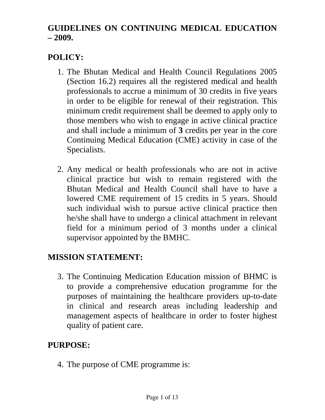## **GUIDELINES ON CONTINUING MEDICAL EDUCATION – 2009.**

# **POLICY:**

- 1. The Bhutan Medical and Health Council Regulations 2005 (Section 16.2) requires all the registered medical and health professionals to accrue a minimum of 30 credits in five years in order to be eligible for renewal of their registration. This minimum credit requirement shall be deemed to apply only to those members who wish to engage in active clinical practice and shall include a minimum of **3** credits per year in the core Continuing Medical Education (CME) activity in case of the Specialists.
- 2. Any medical or health professionals who are not in active clinical practice but wish to remain registered with the Bhutan Medical and Health Council shall have to have a lowered CME requirement of 15 credits in 5 years. Should such individual wish to pursue active clinical practice then he/she shall have to undergo a clinical attachment in relevant field for a minimum period of 3 months under a clinical supervisor appointed by the BMHC.

#### **MISSION STATEMENT:**

3. The Continuing Medication Education mission of BHMC is to provide a comprehensive education programme for the purposes of maintaining the healthcare providers up-to-date in clinical and research areas including leadership and management aspects of healthcare in order to foster highest quality of patient care.

# **PURPOSE:**

4. The purpose of CME programme is: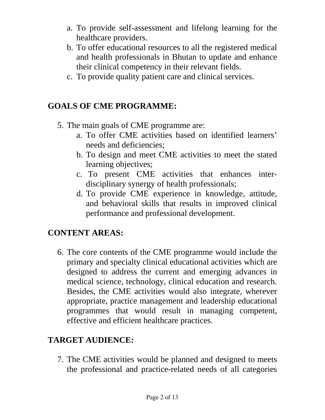- a. To provide self-assessment and lifelong learning for the healthcare providers.
- b. To offer educational resources to all the registered medical and health professionals in Bhutan to update and enhance their clinical competency in their relevant fields.
- c. To provide quality patient care and clinical services.

#### **GOALS OF CME PROGRAMME:**

- 5. The main goals of CME programme are:
	- a. To offer CME activities based on identified learners' needs and deficiencies;
	- b. To design and meet CME activities to meet the stated learning objectives;
	- c. To present CME activities that enhances interdisciplinary synergy of health professionals;
	- d. To provide CME experience in knowledge, attitude, and behavioral skills that results in improved clinical performance and professional development.

#### **CONTENT AREAS:**

6. The core contents of the CME programme would include the primary and specialty clinical educational activities which are designed to address the current and emerging advances in medical science, technology, clinical education and research. Besides, the CME activities would also integrate, wherever appropriate, practice management and leadership educational programmes that would result in managing competent, effective and efficient healthcare practices.

# **TARGET AUDIENCE:**

7. The CME activities would be planned and designed to meets the professional and practice-related needs of all categories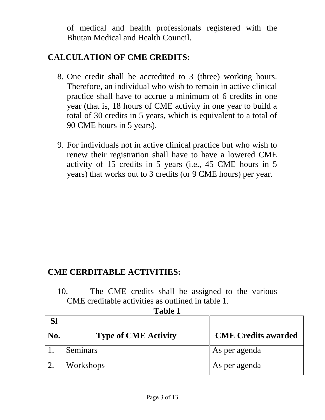of medical and health professionals registered with the Bhutan Medical and Health Council.

#### **CALCULATION OF CME CREDITS:**

- 8. One credit shall be accredited to 3 (three) working hours. Therefore, an individual who wish to remain in active clinical practice shall have to accrue a minimum of 6 credits in one year (that is, 18 hours of CME activity in one year to build a total of 30 credits in 5 years, which is equivalent to a total of 90 CME hours in 5 years).
- 9. For individuals not in active clinical practice but who wish to renew their registration shall have to have a lowered CME activity of 15 credits in 5 years (i.e., 45 CME hours in 5 years) that works out to 3 credits (or 9 CME hours) per year.

#### **CME CERDITABLE ACTIVITIES:**

10. The CME credits shall be assigned to the various CME creditable activities as outlined in table 1.

**Table 1**

| <b>Sl</b> |                             |                            |
|-----------|-----------------------------|----------------------------|
| No.       | <b>Type of CME Activity</b> | <b>CME</b> Credits awarded |
|           | Seminars                    | As per agenda              |
|           | Workshops                   | As per agenda              |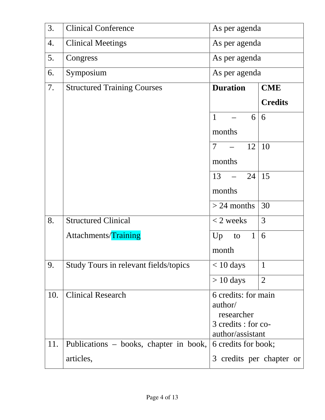| 3.  | <b>Clinical Conference</b>             | As per agenda                                   |                     |  |  |
|-----|----------------------------------------|-------------------------------------------------|---------------------|--|--|
| 4.  | <b>Clinical Meetings</b>               | As per agenda                                   |                     |  |  |
| 5.  | Congress                               | As per agenda                                   |                     |  |  |
| 6.  | Symposium                              |                                                 | As per agenda       |  |  |
| 7.  | <b>Structured Training Courses</b>     | <b>Duration</b>                                 | <b>CME</b>          |  |  |
|     |                                        |                                                 | <b>Credits</b>      |  |  |
|     |                                        | $\mathbf{1}$<br>6<br>$\equiv$                   | 6                   |  |  |
|     |                                        | months                                          |                     |  |  |
|     |                                        | $\tau$<br>12<br>$\frac{1}{2}$ and $\frac{1}{2}$ | 10                  |  |  |
|     |                                        | months                                          |                     |  |  |
|     |                                        | $-24$<br>13                                     | 15                  |  |  |
|     |                                        | months                                          |                     |  |  |
|     |                                        | $> 24$ months                                   | 30                  |  |  |
| 8.  | <b>Structured Clinical</b>             | $<$ 2 weeks                                     | 3                   |  |  |
|     | Attachments/Training                   | $\mathbf{1}$<br>Up<br>to                        | 6                   |  |  |
|     |                                        | month                                           |                     |  |  |
| 9.  | Study Tours in relevant fields/topics  | $< 10$ days                                     | $\mathbf{1}$        |  |  |
|     |                                        | $> 10$ days                                     | $\overline{2}$      |  |  |
| 10. | <b>Clinical Research</b>               | 6 credits: for main                             |                     |  |  |
|     |                                        | author/                                         |                     |  |  |
|     |                                        | researcher<br>3 credits : for co-               |                     |  |  |
|     |                                        | author/assistant                                |                     |  |  |
| 11. | Publications – books, chapter in book, |                                                 | 6 credits for book; |  |  |
|     | articles,                              | 3 credits per chapter or                        |                     |  |  |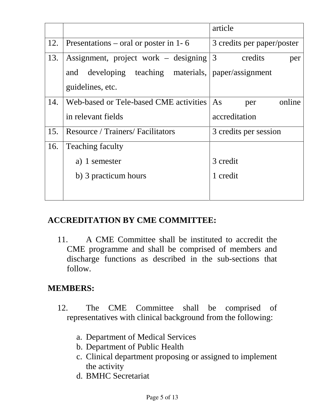|     |                                                        | article                    |
|-----|--------------------------------------------------------|----------------------------|
| 12. | Presentations – oral or poster in 1-6                  | 3 credits per paper/poster |
| 13. | Assignment, project work – designing                   | 3<br>credits<br>per        |
|     | developing teaching materials, paper/assignment<br>and |                            |
|     | guidelines, etc.                                       |                            |
| 14. | Web-based or Tele-based CME activities                 | online<br>As<br>per        |
|     | in relevant fields                                     | accreditation              |
| 15. | <b>Resource / Trainers/ Facilitators</b>               | 3 credits per session      |
| 16. | <b>Teaching faculty</b>                                |                            |
|     | a) 1 semester                                          | 3 credit                   |
|     | b) 3 practicum hours                                   | 1 credit                   |
|     |                                                        |                            |

#### **ACCREDITATION BY CME COMMITTEE:**

11. A CME Committee shall be instituted to accredit the CME programme and shall be comprised of members and discharge functions as described in the sub-sections that follow.

# **MEMBERS:**

- 12. The CME Committee shall be comprised of representatives with clinical background from the following:
	- a. Department of Medical Services
	- b. Department of Public Health
	- c. Clinical department proposing or assigned to implement the activity
	- d. BMHC Secretariat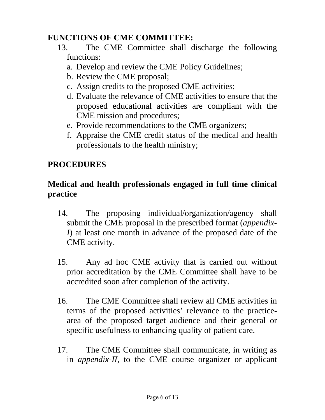#### **FUNCTIONS OF CME COMMITTEE:**

- 13. The CME Committee shall discharge the following functions:
	- a. Develop and review the CME Policy Guidelines;
	- b. Review the CME proposal;
	- c. Assign credits to the proposed CME activities;
	- d. Evaluate the relevance of CME activities to ensure that the proposed educational activities are compliant with the CME mission and procedures;
	- e. Provide recommendations to the CME organizers;
	- f. Appraise the CME credit status of the medical and health professionals to the health ministry;

## **PROCEDURES**

#### **Medical and health professionals engaged in full time clinical practice**

- 14. The proposing individual/organization/agency shall submit the CME proposal in the prescribed format (*appendix-I*) at least one month in advance of the proposed date of the CME activity.
- 15. Any ad hoc CME activity that is carried out without prior accreditation by the CME Committee shall have to be accredited soon after completion of the activity.
- 16. The CME Committee shall review all CME activities in terms of the proposed activities' relevance to the practicearea of the proposed target audience and their general or specific usefulness to enhancing quality of patient care.
- 17. The CME Committee shall communicate, in writing as in *appendix-II*, to the CME course organizer or applicant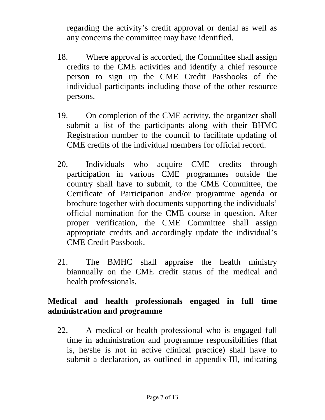regarding the activity's credit approval or denial as well as any concerns the committee may have identified.

- 18. Where approval is accorded, the Committee shall assign credits to the CME activities and identify a chief resource person to sign up the CME Credit Passbooks of the individual participants including those of the other resource persons.
- 19. On completion of the CME activity, the organizer shall submit a list of the participants along with their BHMC Registration number to the council to facilitate updating of CME credits of the individual members for official record.
- 20. Individuals who acquire CME credits through participation in various CME programmes outside the country shall have to submit, to the CME Committee, the Certificate of Participation and/or programme agenda or brochure together with documents supporting the individuals' official nomination for the CME course in question. After proper verification, the CME Committee shall assign appropriate credits and accordingly update the individual's CME Credit Passbook.
- 21. The BMHC shall appraise the health ministry biannually on the CME credit status of the medical and health professionals.

#### **Medical and health professionals engaged in full time administration and programme**

22. A medical or health professional who is engaged full time in administration and programme responsibilities (that is, he/she is not in active clinical practice) shall have to submit a declaration, as outlined in appendix-III, indicating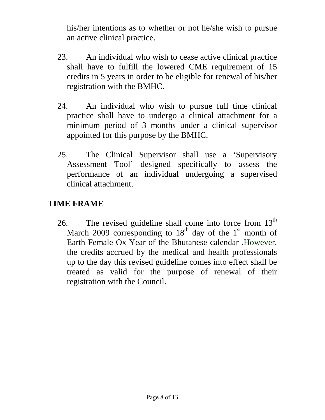his/her intentions as to whether or not he/she wish to pursue an active clinical practice.

- 23. An individual who wish to cease active clinical practice shall have to fulfill the lowered CME requirement of 15 credits in 5 years in order to be eligible for renewal of his/her registration with the BMHC.
- 24. An individual who wish to pursue full time clinical practice shall have to undergo a clinical attachment for a minimum period of 3 months under a clinical supervisor appointed for this purpose by the BMHC.
- 25. The Clinical Supervisor shall use a 'Supervisory Assessment Tool' designed specifically to assess the performance of an individual undergoing a supervised clinical attachment.

#### **TIME FRAME**

26. The revised guideline shall come into force from  $13<sup>th</sup>$ March 2009 corresponding to  $18<sup>th</sup>$  day of the 1<sup>st</sup> month of Earth Female Ox Year of the Bhutanese calendar .However, the credits accrued by the medical and health professionals up to the day this revised guideline comes into effect shall be treated as valid for the purpose of renewal of their registration with the Council.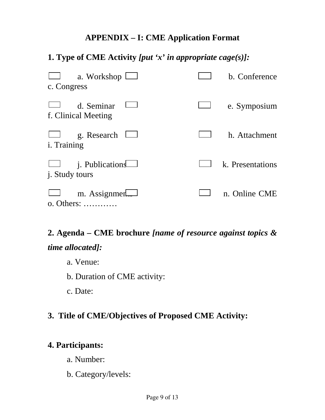#### **APPENDIX – I: CME Application Format**

## **1. Type of CME Activity** *[put 'x' in appropriate cage(s)]:*

| a. Workshop l<br>c. Congress                     | b. Conference    |
|--------------------------------------------------|------------------|
| d. Seminar<br>f. Clinical Meeting                | e. Symposium     |
| g. Research<br><i>i</i> . Training               | h. Attachment    |
| <i>i</i> . Publications<br><i>i.</i> Study tours | k. Presentations |
| m. Assignmer<br>o. Others:                       | n. Online CME    |

# **2. Agenda – CME brochure** *[name of resource against topics & time allocated]:*

- a. Venue:
- b. Duration of CME activity:

c. Date:

#### **3. Title of CME/Objectives of Proposed CME Activity:**

#### **4. Participants:**

- a. Number:
- b. Category/levels: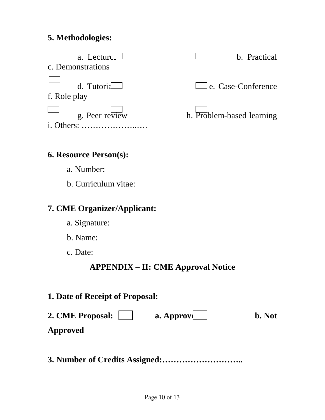#### **5. Methodologies:**



#### **6. Resource Person(s):**

- a. Number:
- b. Curriculum vitae:

## **7. CME Organizer/Applicant:**

- a. Signature:
- b. Name:
- c. Date:

# **APPENDIX – II: CME Approval Notice**

#### **1. Date of Receipt of Proposal:**

| 2. CME Proposal: | a. Approve | <b>b.</b> Not |
|------------------|------------|---------------|
| Approved         |            |               |

**3. Number of Credits Assigned:………………………..**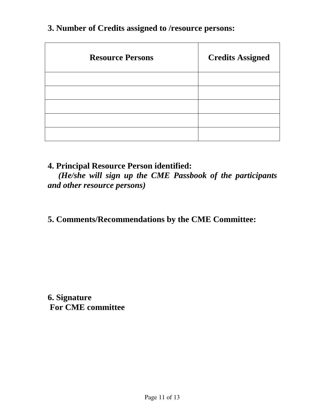| <b>Resource Persons</b> | <b>Credits Assigned</b> |
|-------------------------|-------------------------|
|                         |                         |
|                         |                         |
|                         |                         |
|                         |                         |
|                         |                         |

#### **3. Number of Credits assigned to /resource persons:**

#### **4. Principal Resource Person identified:**

*(He/she will sign up the CME Passbook of the participants and other resource persons)*

## **5. Comments/Recommendations by the CME Committee:**

**6. Signature For CME committee**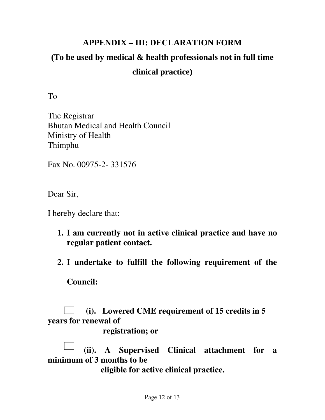# **APPENDIX – III: DECLARATION FORM (To be used by medical & health professionals not in full time clinical practice)**

To

The Registrar Bhutan Medical and Health Council Ministry of Health Thimphu

Fax No. 00975-2- 331576

Dear Sir,

I hereby declare that:

- **1. I am currently not in active clinical practice and have no regular patient contact.**
- **2. I undertake to fulfill the following requirement of the**

**Council:** 

 **(i). Lowered CME requirement of 15 credits in 5 years for renewal of** 

 **registration; or** 

 **(ii). A Supervised Clinical attachment for a minimum of 3 months to be** 

 **eligible for active clinical practice.**